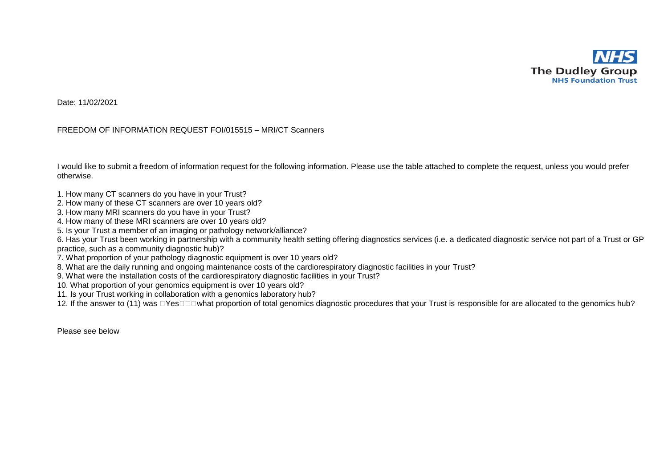

Date: 11/02/2021

## FREEDOM OF INFORMATION REQUEST FOI/015515 – MRI/CT Scanners

I would like to submit a freedom of information request for the following information. Please use the table attached to complete the request, unless you would prefer otherwise.

- 1. How many CT scanners do you have in your Trust?
- 2. How many of these CT scanners are over 10 years old?
- 3. How many MRI scanners do you have in your Trust?
- 4. How many of these MRI scanners are over 10 years old?
- 5. Is your Trust a member of an imaging or pathology network/alliance?

6. Has your Trust been working in partnership with a community health setting offering diagnostics services (i.e. a dedicated diagnostic service not part of a Trust or GP practice, such as a community diagnostic hub)?

- 7. What proportion of your pathology diagnostic equipment is over 10 years old?
- 8. What are the daily running and ongoing maintenance costs of the cardiorespiratory diagnostic facilities in your Trust?
- 9. What were the installation costs of the cardiorespiratory diagnostic facilities in your Trust?
- 10. What proportion of your genomics equipment is over 10 years old?
- 11. Is your Trust working in collaboration with a genomics laboratory hub?

12. If the answer to (11) was □Yes□□□what proportion of total genomics diagnostic procedures that your Trust is responsible for are allocated to the genomics hub?

Please see below